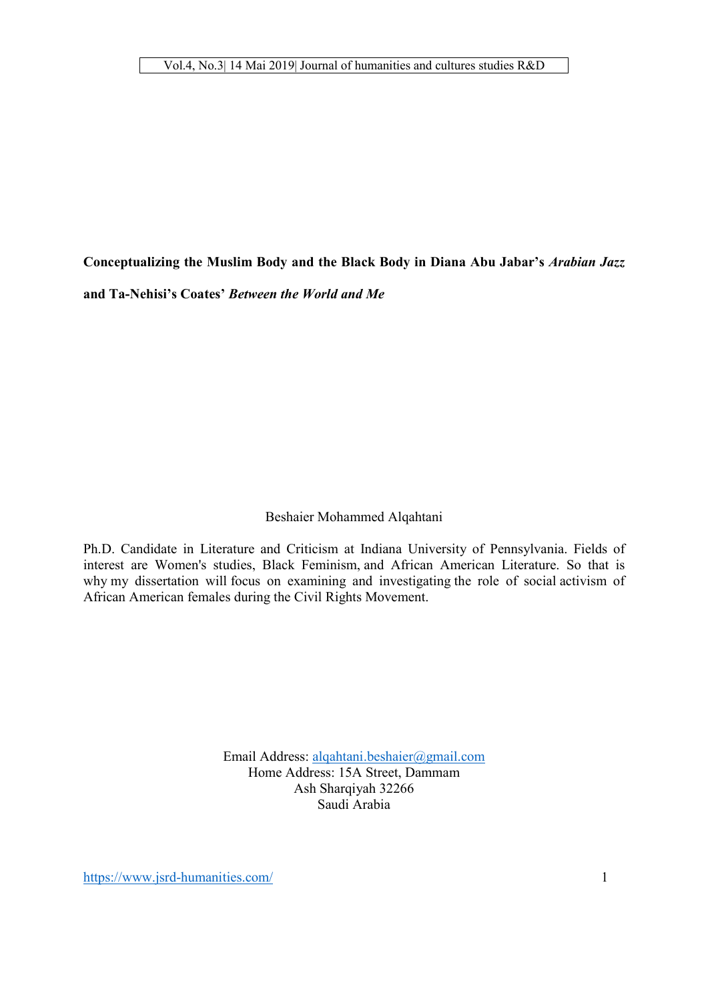Conceptualizing the Muslim Body and the Black Body in Diana Abu Jabar's *Arabian Jazz* and Ta-Nehisi's Coates' *Between the World and Me*

# Beshaier Mohammed Alqahtani

Ph.D. Candidate in Literature and Criticism at Indiana University of Pennsylvania. Fields of interest are Women's studies, Black Feminism, and African American Literature. So that is why my dissertation will focus on examining and investigating the role of social activism of African American females during the Civil Rights Movement.

> Email Address: alqahtani.beshaier@gmail.com Home Address: 15A Street, Dammam Ash Sharqiyah 32266 Saudi Arabia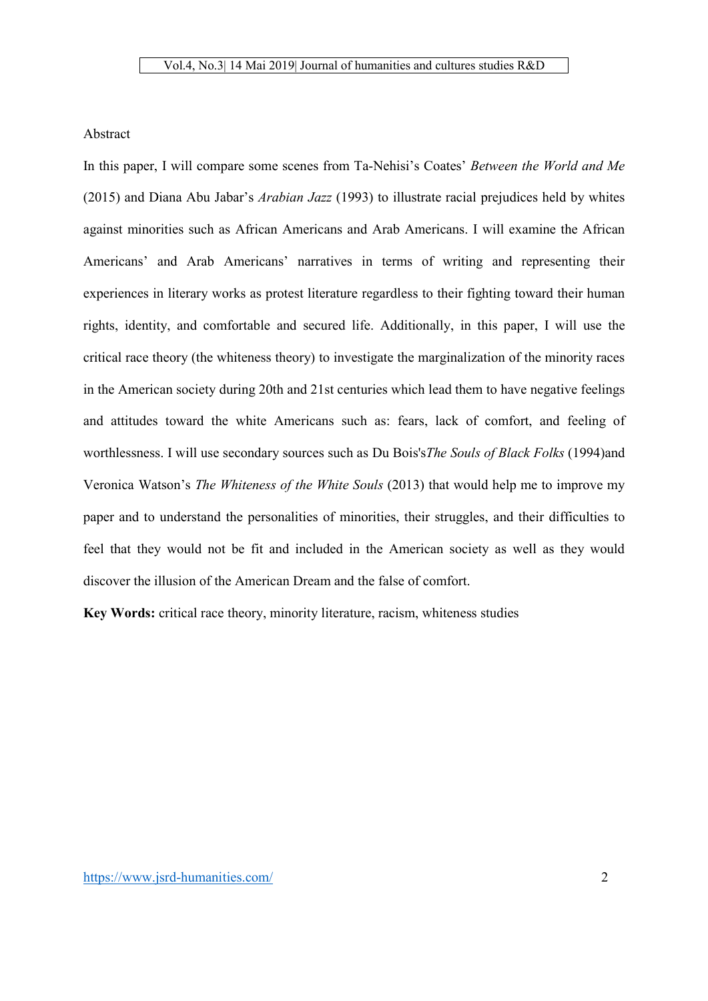# Abstract

In this paper, I will compare some scenes from Ta-Nehisi's Coates' *Between the World and Me* (2015) and Diana Abu Jabar's *Arabian Jazz* (1993) to illustrate racial prejudices held by whites against minorities such as African Americans and Arab Americans. I will examine the African Americans' and Arab Americans' narratives in terms of writing and representing their experiences in literary works as protest literature regardless to their fighting toward their human rights, identity, and comfortable and secured life. Additionally, in this paper, I will use the critical race theory (the whiteness theory) to investigate the marginalization of the minority races in the American society during 20th and 21st centuries which lead them to have negative feelings and attitudes toward the white Americans such as: fears, lack of comfort, and feeling of worthlessness. I will use secondary sources such as Du Bois's*The Souls of Black Folks* (1994)and Veronica Watson's *The Whiteness of the White Souls* (2013) that would help me to improve my paper and to understand the personalities of minorities, their struggles, and their difficulties to feel that they would not be fit and included in the American society as well as they would discover the illusion of the American Dream and the false of comfort.

Key Words: critical race theory, minority literature, racism, whiteness studies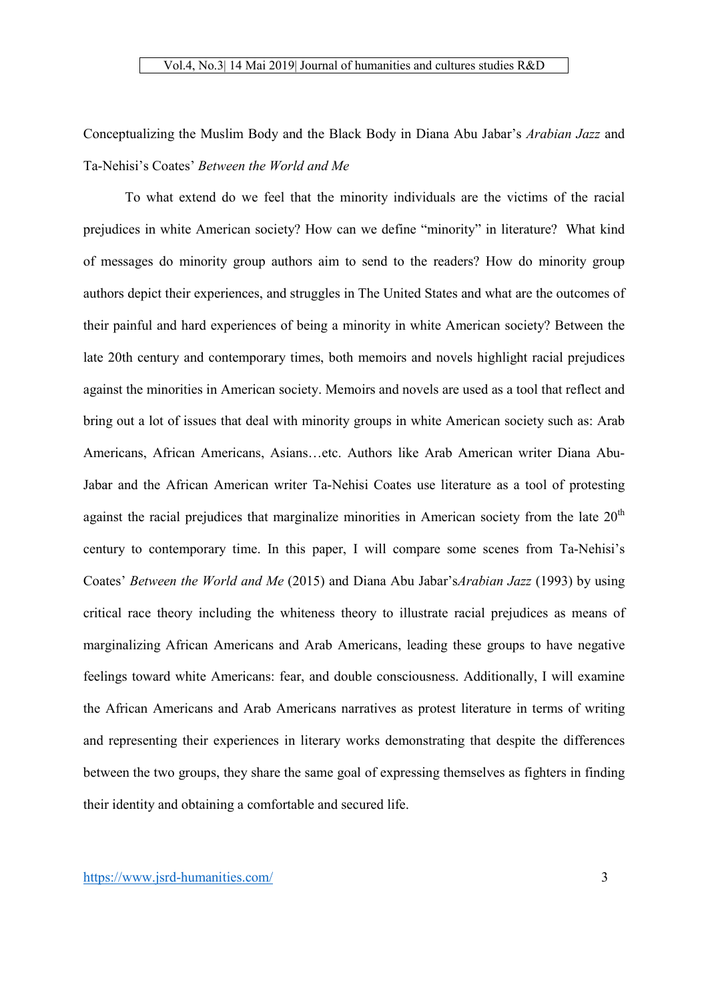Conceptualizing the Muslim Body and the Black Body in Diana Abu Jabar's *Arabian Jazz* and Ta-Nehisi's Coates' *Between the World and Me*

To what extend do we feel that the minority individuals are the victims of the racial prejudices in white American society? How can we define "minority" in literature? What kind of messages do minority group authors aim to send to the readers? How do minority group authors depict their experiences, and struggles in The United States and what are the outcomes of their painful and hard experiences of being a minority in white American society? Between the late 20th century and contemporary times, both memoirs and novels highlight racial prejudices against the minorities in American society. Memoirs and novels are used as a tool that reflect and bring out a lot of issues that deal with minority groups in white American society such as: Arab Americans, African Americans, Asians…etc. Authors like Arab American writer Diana Abu-Jabar and the African American writer Ta-Nehisi Coates use literature as a tool of protesting against the racial prejudices that marginalize minorities in American society from the late  $20<sup>th</sup>$ century to contemporary time. In this paper, I will compare some scenes from Ta-Nehisi's Coates' *Between the World and Me* (2015) and Diana Abu Jabar's*Arabian Jazz* (1993) by using critical race theory including the whiteness theory to illustrate racial prejudices as means of marginalizing African Americans and Arab Americans, leading these groups to have negative feelings toward white Americans: fear, and double consciousness. Additionally, I will examine the African Americans and Arab Americans narratives as protest literature in terms of writing and representing their experiences in literary works demonstrating that despite the differences between the two groups, they share the same goal of expressing themselves as fighters in finding their identity and obtaining a comfortable and secured life.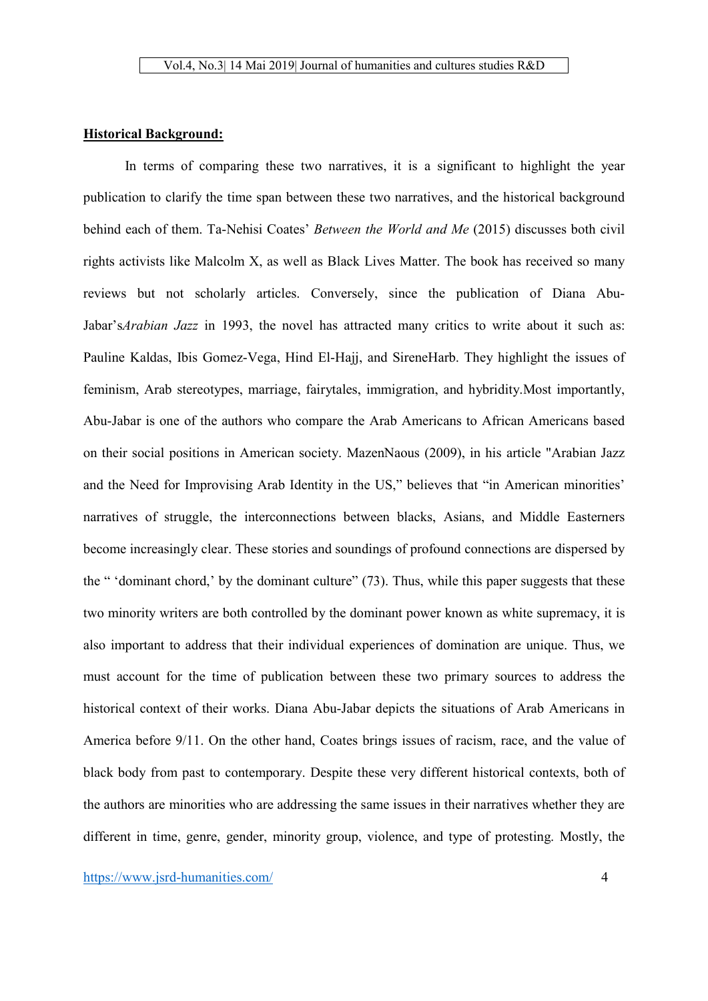# Historical Background:

In terms of comparing these two narratives, it is a significant to highlight the year publication to clarify the time span between these two narratives, and the historical background behind each of them. Ta-Nehisi Coates' *Between the World and Me* (2015) discusses both civil rights activists like Malcolm X, as well as Black Lives Matter. The book has received so many reviews but not scholarly articles. Conversely, since the publication of Diana Abu-Jabar's*Arabian Jazz* in 1993, the novel has attracted many critics to write about it such as: Pauline Kaldas, Ibis Gomez-Vega, Hind El-Hajj, and SireneHarb. They highlight the issues of feminism, Arab stereotypes, marriage, fairytales, immigration, and hybridity.Most importantly, Abu-Jabar is one of the authors who compare the Arab Americans to African Americans based on their social positions in American society. MazenNaous (2009), in his article "Arabian Jazz and the Need for Improvising Arab Identity in the US," believes that "in American minorities' narratives of struggle, the interconnections between blacks, Asians, and Middle Easterners become increasingly clear. These stories and soundings of profound connections are dispersed by the " 'dominant chord,' by the dominant culture" (73). Thus, while this paper suggests that these two minority writers are both controlled by the dominant power known as white supremacy, it is also important to address that their individual experiences of domination are unique. Thus, we must account for the time of publication between these two primary sources to address the historical context of their works. Diana Abu-Jabar depicts the situations of Arab Americans in America before 9/11. On the other hand, Coates brings issues of racism, race, and the value of black body from past to contemporary. Despite these very different historical contexts, both of the authors are minorities who are addressing the same issues in their narratives whether they are different in time, genre, gender, minority group, violence, and type of protesting. Mostly, the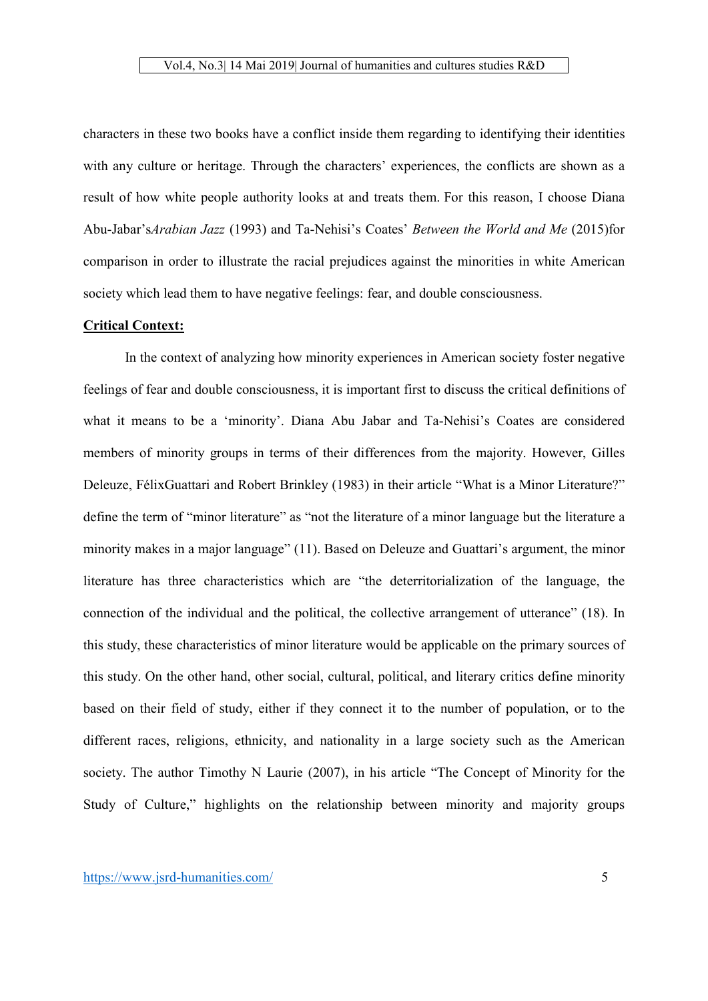characters in these two books have a conflict inside them regarding to identifying their identities with any culture or heritage. Through the characters' experiences, the conflicts are shown as a result of how white people authority looks at and treats them. For this reason, I choose Diana Abu-Jabar's*Arabian Jazz* (1993) and Ta-Nehisi's Coates' *Between the World and Me* (2015)for comparison in order to illustrate the racial prejudices against the minorities in white American society which lead them to have negative feelings: fear, and double consciousness.

# Critical Context:

In the context of analyzing how minority experiences in American society foster negative feelings of fear and double consciousness, it is important first to discuss the critical definitions of what it means to be a 'minority'. Diana Abu Jabar and Ta-Nehisi's Coates are considered members of minority groups in terms of their differences from the majority. However, Gilles Deleuze, FélixGuattari and Robert Brinkley (1983) in their article "What is a Minor Literature?" define the term of "minor literature" as "not the literature of a minor language but the literature a minority makes in a major language" (11). Based on Deleuze and Guattari's argument, the minor literature has three characteristics which are "the deterritorialization of the language, the connection of the individual and the political, the collective arrangement of utterance" (18). In this study, these characteristics of minor literature would be applicable on the primary sources of this study. On the other hand, other social, cultural, political, and literary critics define minority based on their field of study, either if they connect it to the number of population, or to the different races, religions, ethnicity, and nationality in a large society such as the American society. The author Timothy N Laurie (2007), in his article "The Concept of Minority for the Study of Culture," highlights on the relationship between minority and majority groups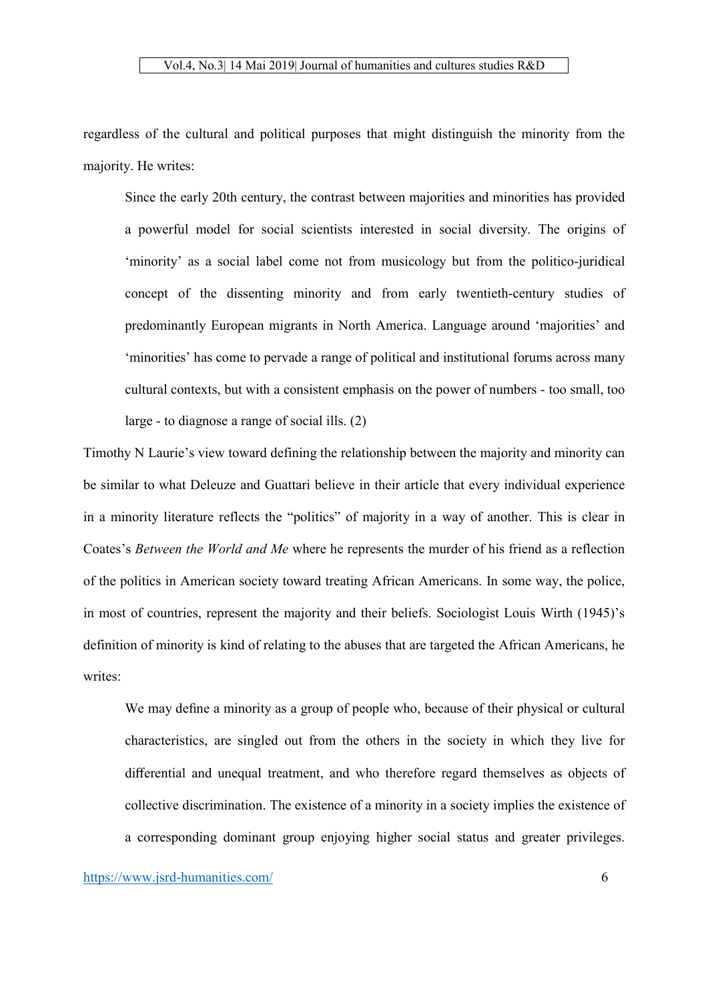regardless of the cultural and political purposes that might distinguish the minority from the majority. He writes:

Since the early 20th century, the contrast between majorities and minorities has provided a powerful model for social scientists interested in social diversity. The origins of 'minority' as a social label come not from musicology but from the politico-juridical concept of the dissenting minority and from early twentieth-century studies of predominantly European migrants in North America. Language around 'majorities' and 'minorities' has come to pervade a range of political and institutional forums across many cultural contexts, but with a consistent emphasis on the power of numbers - too small, too large - to diagnose a range of social ills. (2)

Timothy N Laurie's view toward defining the relationship between the majority and minority can be similar to what Deleuze and Guattari believe in their article that every individual experience in a minority literature reflects the "politics" of majority in a way of another. This is clear in Coates's *Between the World and Me* where he represents the murder of his friend as a reflection of the politics in American society toward treating African Americans. In some way, the police, in most of countries, represent the majority and their beliefs. Sociologist Louis Wirth (1945)'s definition of minority is kind of relating to the abuses that are targeted the African Americans, he writes<sup>.</sup>

We may define a minority as a group of people who, because of their physical or cultural characteristics, are singled out from the others in the society in which they live for differential and unequal treatment, and who therefore regard themselves as objects of collective discrimination. The existence of a minority in a society implies the existence of a corresponding dominant group enjoying higher social status and greater privileges.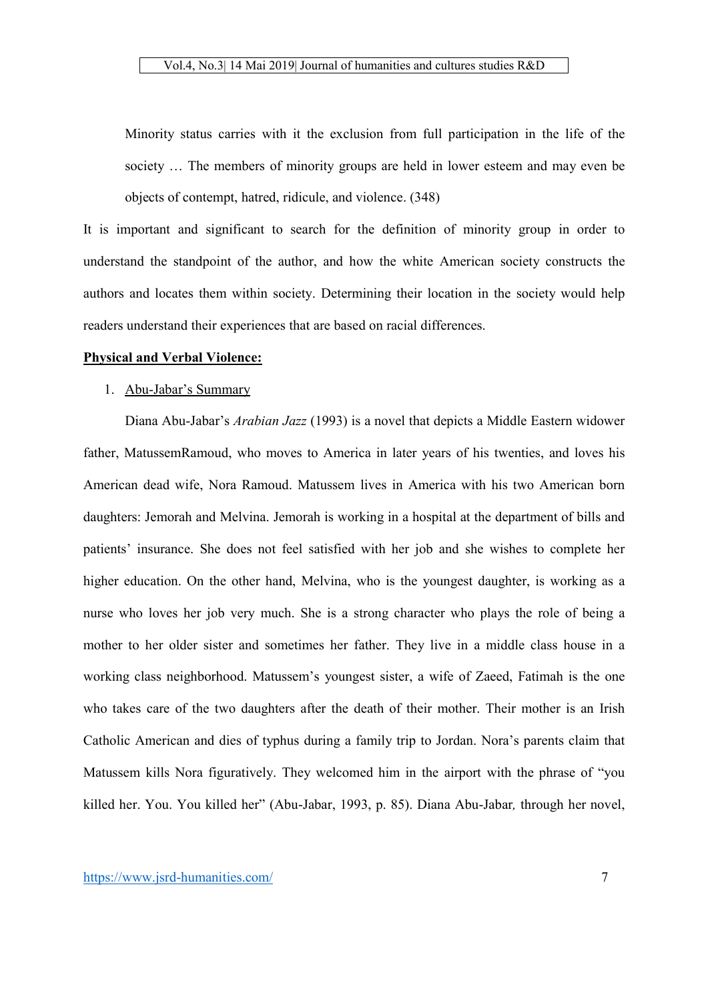Minority status carries with it the exclusion from full participation in the life of the society … The members of minority groups are held in lower esteem and may even be objects of contempt, hatred, ridicule, and violence. (348)

It is important and significant to search for the definition of minority group in order to understand the standpoint of the author, and how the white American society constructs the authors and locates them within society. Determining their location in the society would help readers understand their experiences that are based on racial differences.

# Physical and Verbal Violence:

#### 1. Abu-Jabar's Summary

Diana Abu-Jabar's *Arabian Jazz* (1993) is a novel that depicts a Middle Eastern widower father, MatussemRamoud, who moves to America in later years of his twenties, and loves his American dead wife, Nora Ramoud. Matussem lives in America with his two American born daughters: Jemorah and Melvina. Jemorah is working in a hospital at the department of bills and patients' insurance. She does not feel satisfied with her job and she wishes to complete her higher education. On the other hand, Melvina, who is the youngest daughter, is working as a nurse who loves her job very much. She is a strong character who plays the role of being a mother to her older sister and sometimes her father. They live in a middle class house in a working class neighborhood. Matussem's youngest sister, a wife of Zaeed, Fatimah is the one who takes care of the two daughters after the death of their mother. Their mother is an Irish Catholic American and dies of typhus during a family trip to Jordan. Nora's parents claim that Matussem kills Nora figuratively. They welcomed him in the airport with the phrase of "you killed her. You. You killed her" (Abu-Jabar, 1993, p. 85). Diana Abu-Jabar*,* through her novel,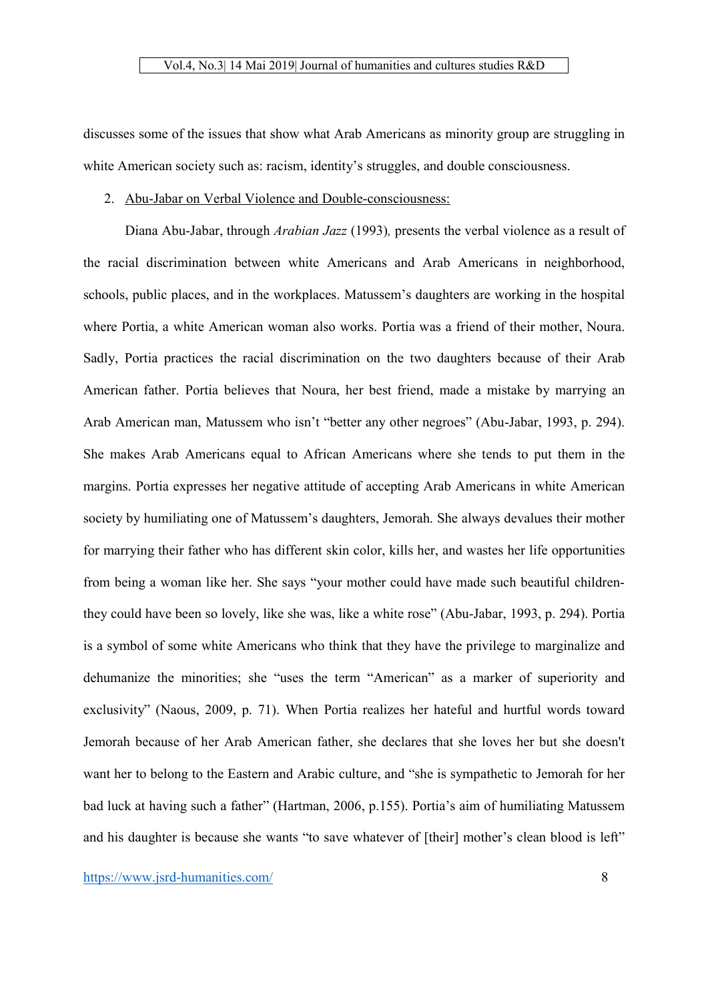discusses some of the issues that show what Arab Americans as minority group are struggling in white American society such as: racism, identity's struggles, and double consciousness.

# 2. Abu-Jabar on Verbal Violence and Double-consciousness:

Diana Abu-Jabar, through *Arabian Jazz* (1993)*,* presents the verbal violence as a result of the racial discrimination between white Americans and Arab Americans in neighborhood, schools, public places, and in the workplaces. Matussem's daughters are working in the hospital where Portia, a white American woman also works. Portia was a friend of their mother, Noura. Sadly, Portia practices the racial discrimination on the two daughters because of their Arab American father. Portia believes that Noura, her best friend, made a mistake by marrying an Arab American man, Matussem who isn't "better any other negroes" (Abu-Jabar, 1993, p. 294). She makes Arab Americans equal to African Americans where she tends to put them in the margins. Portia expresses her negative attitude of accepting Arab Americans in white American society by humiliating one of Matussem's daughters, Jemorah. She always devalues their mother for marrying their father who has different skin color, kills her, and wastes her life opportunities from being a woman like her. She says "your mother could have made such beautiful childrenthey could have been so lovely, like she was, like a white rose" (Abu-Jabar, 1993, p. 294). Portia is a symbol of some white Americans who think that they have the privilege to marginalize and dehumanize the minorities; she "uses the term "American" as a marker of superiority and exclusivity" (Naous, 2009, p. 71). When Portia realizes her hateful and hurtful words toward Jemorah because of her Arab American father, she declares that she loves her but she doesn't want her to belong to the Eastern and Arabic culture, and "she is sympathetic to Jemorah for her bad luck at having such a father" (Hartman, 2006, p.155). Portia's aim of humiliating Matussem and his daughter is because she wants "to save whatever of [their] mother's clean blood is left"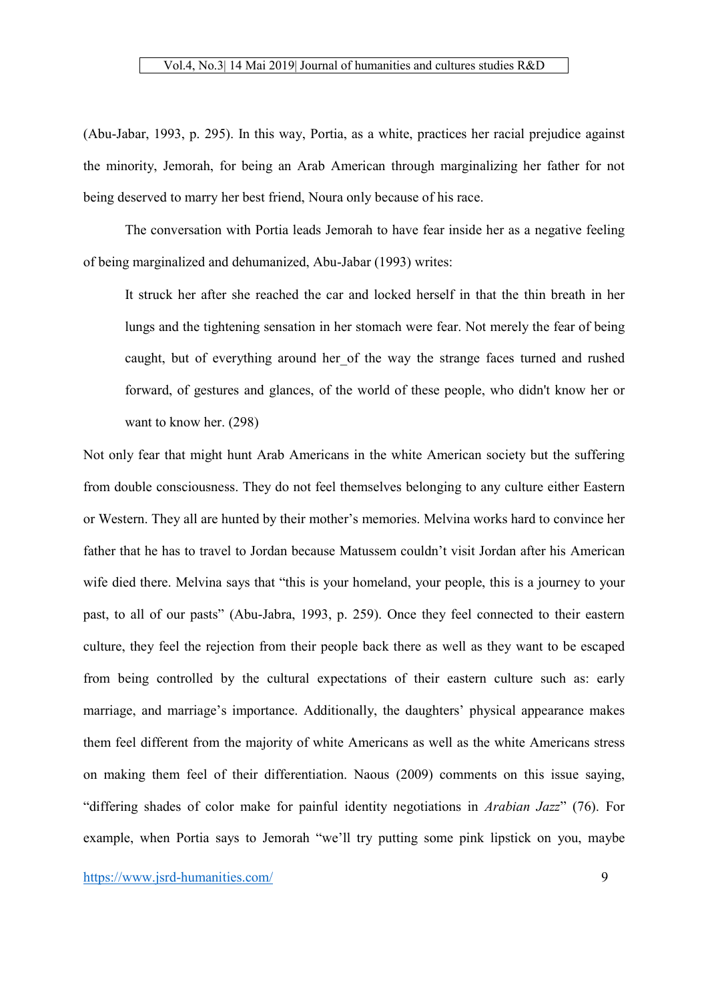(Abu-Jabar, 1993, p. 295). In this way, Portia, as a white, practices her racial prejudice against the minority, Jemorah, for being an Arab American through marginalizing her father for not being deserved to marry her best friend, Noura only because of his race.

The conversation with Portia leads Jemorah to have fear inside her as a negative feeling of being marginalized and dehumanized, Abu-Jabar (1993) writes:

It struck her after she reached the car and locked herself in that the thin breath in her lungs and the tightening sensation in her stomach were fear. Not merely the fear of being caught, but of everything around her of the way the strange faces turned and rushed forward, of gestures and glances, of the world of these people, who didn't know her or want to know her. (298)

Not only fear that might hunt Arab Americans in the white American society but the suffering from double consciousness. They do not feel themselves belonging to any culture either Eastern or Western. They all are hunted by their mother's memories. Melvina works hard to convince her father that he has to travel to Jordan because Matussem couldn't visit Jordan after his American wife died there. Melvina says that "this is your homeland, your people, this is a journey to your past, to all of our pasts" (Abu-Jabra, 1993, p. 259). Once they feel connected to their eastern culture, they feel the rejection from their people back there as well as they want to be escaped from being controlled by the cultural expectations of their eastern culture such as: early marriage, and marriage's importance. Additionally, the daughters' physical appearance makes them feel different from the majority of white Americans as well as the white Americans stress on making them feel of their differentiation. Naous (2009) comments on this issue saying, "differing shades of color make for painful identity negotiations in *Arabian Jazz*" (76). For example, when Portia says to Jemorah "we'll try putting some pink lipstick on you, maybe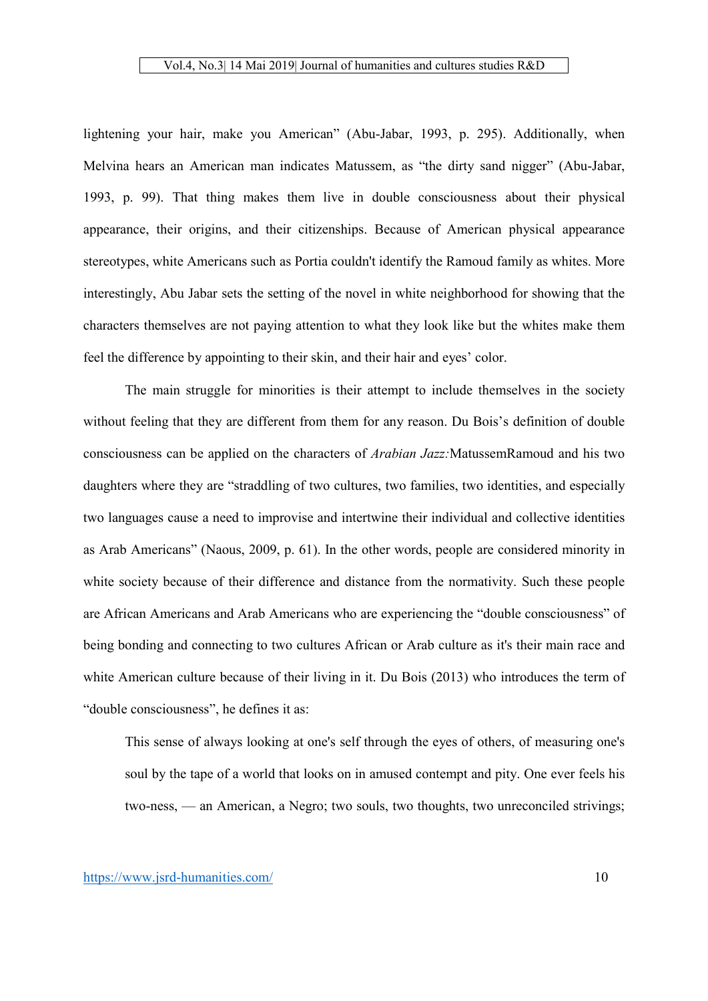lightening your hair, make you American" (Abu-Jabar, 1993, p. 295). Additionally, when Melvina hears an American man indicates Matussem, as "the dirty sand nigger" (Abu-Jabar, 1993, p. 99). That thing makes them live in double consciousness about their physical appearance, their origins, and their citizenships. Because of American physical appearance stereotypes, white Americans such as Portia couldn't identify the Ramoud family as whites. More interestingly, Abu Jabar sets the setting of the novel in white neighborhood for showing that the characters themselves are not paying attention to what they look like but the whites make them feel the difference by appointing to their skin, and their hair and eyes' color.

The main struggle for minorities is their attempt to include themselves in the society without feeling that they are different from them for any reason. Du Bois's definition of double consciousness can be applied on the characters of *Arabian Jazz:*MatussemRamoud and his two daughters where they are "straddling of two cultures, two families, two identities, and especially two languages cause a need to improvise and intertwine their individual and collective identities as Arab Americans" (Naous, 2009, p. 61). In the other words, people are considered minority in white society because of their difference and distance from the normativity. Such these people are African Americans and Arab Americans who are experiencing the "double consciousness" of being bonding and connecting to two cultures African or Arab culture as it's their main race and white American culture because of their living in it. Du Bois (2013) who introduces the term of "double consciousness", he defines it as:

This sense of always looking at one's self through the eyes of others, of measuring one's soul by the tape of a world that looks on in amused contempt and pity. One ever feels his two-ness, — an American, a Negro; two souls, two thoughts, two unreconciled strivings;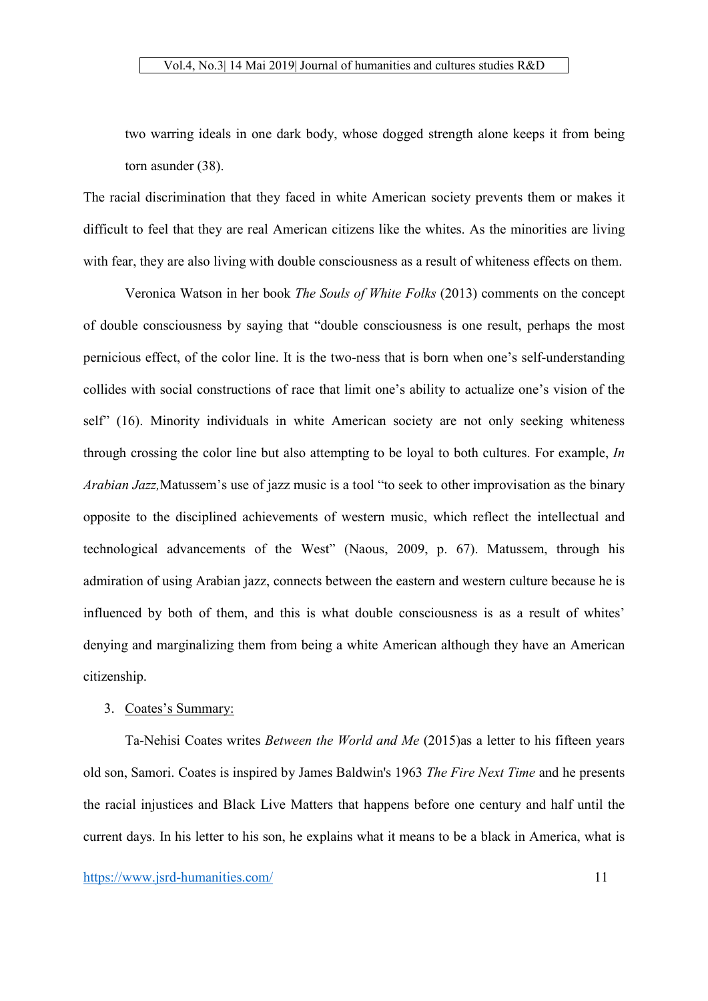two warring ideals in one dark body, whose dogged strength alone keeps it from being torn asunder (38).

The racial discrimination that they faced in white American society prevents them or makes it difficult to feel that they are real American citizens like the whites. As the minorities are living with fear, they are also living with double consciousness as a result of whiteness effects on them.

Veronica Watson in her book *The Souls of White Folks* (2013) comments on the concept of double consciousness by saying that "double consciousness is one result, perhaps the most pernicious effect, of the color line. It is the two-ness that is born when one's self-understanding collides with social constructions of race that limit one's ability to actualize one's vision of the self" (16). Minority individuals in white American society are not only seeking whiteness through crossing the color line but also attempting to be loyal to both cultures. For example, *In Arabian Jazz,*Matussem's use of jazz music is a tool "to seek to other improvisation as the binary opposite to the disciplined achievements of western music, which reflect the intellectual and technological advancements of the West" (Naous, 2009, p. 67). Matussem, through his admiration of using Arabian jazz, connects between the eastern and western culture because he is influenced by both of them, and this is what double consciousness is as a result of whites' denying and marginalizing them from being a white American although they have an American citizenship.

# 3. Coates's Summary:

Ta-Nehisi Coates writes *Between the World and Me* (2015)as a letter to his fifteen years old son, Samori. Coates is inspired by James Baldwin's 1963 *The Fire Next Time* and he presents the racial injustices and Black Live Matters that happens before one century and half until the current days. In his letter to his son, he explains what it means to be a black in America, what is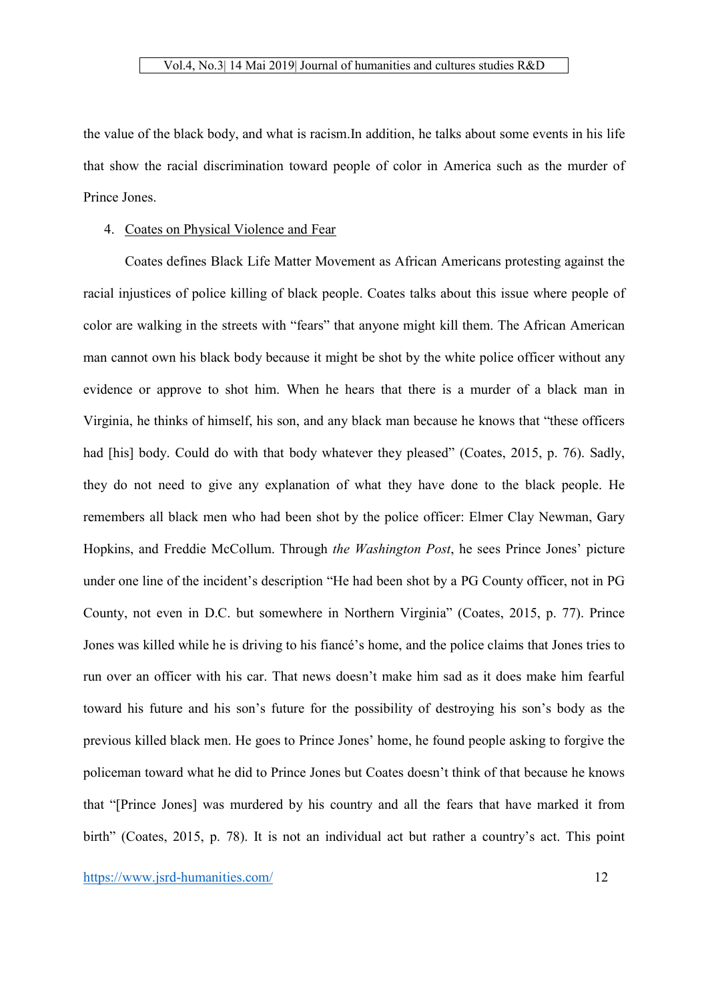the value of the black body, and what is racism.In addition, he talks about some events in his life that show the racial discrimination toward people of color in America such as the murder of Prince Jones.

# 4. Coates on Physical Violence and Fear

Coates defines Black Life Matter Movement as African Americans protesting against the racial injustices of police killing of black people. Coates talks about this issue where people of color are walking in the streets with "fears" that anyone might kill them. The African American man cannot own his black body because it might be shot by the white police officer without any evidence or approve to shot him. When he hears that there is a murder of a black man in Virginia, he thinks of himself, his son, and any black man because he knows that "these officers had [his] body. Could do with that body whatever they pleased" (Coates, 2015, p. 76). Sadly, they do not need to give any explanation of what they have done to the black people. He remembers all black men who had been shot by the police officer: Elmer Clay Newman, Gary Hopkins, and Freddie McCollum. Through *the Washington Post*, he sees Prince Jones' picture under one line of the incident's description "He had been shot by a PG County officer, not in PG County, not even in D.C. but somewhere in Northern Virginia" (Coates, 2015, p. 77). Prince Jones was killed while he is driving to his fiancé's home, and the police claims that Jones tries to run over an officer with his car. That news doesn't make him sad as it does make him fearful toward his future and his son's future for the possibility of destroying his son's body as the previous killed black men. He goes to Prince Jones' home, he found people asking to forgive the policeman toward what he did to Prince Jones but Coates doesn't think of that because he knows that "[Prince Jones] was murdered by his country and all the fears that have marked it from birth" (Coates, 2015, p. 78). It is not an individual act but rather a country's act. This point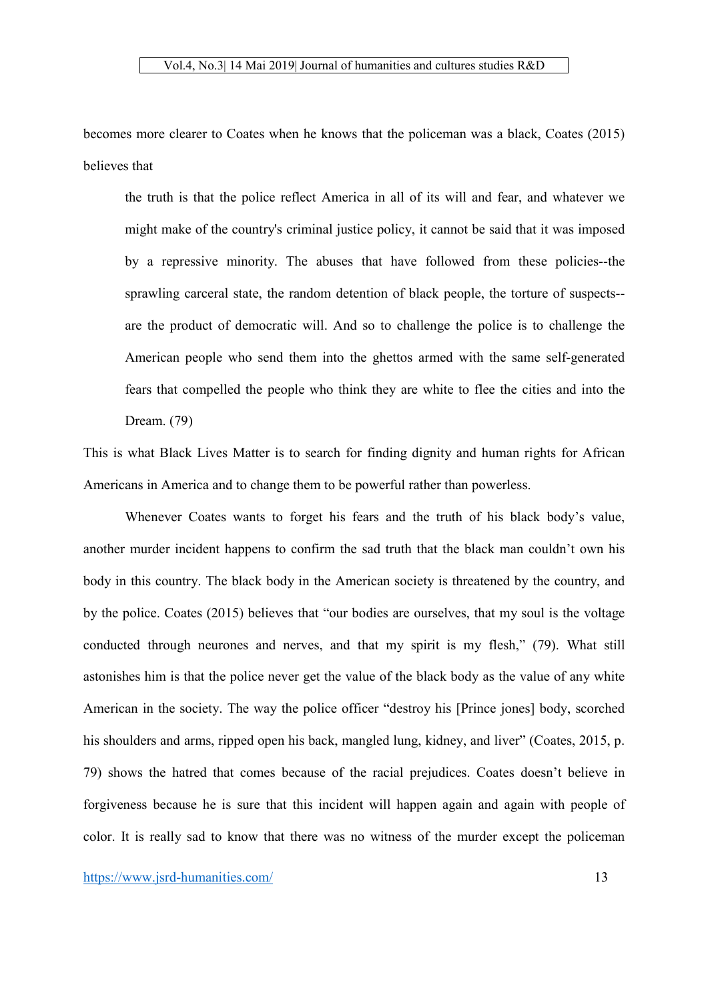becomes more clearer to Coates when he knows that the policeman was a black, Coates (2015) believes that

the truth is that the police reflect America in all of its will and fear, and whatever we might make of the country's criminal justice policy, it cannot be said that it was imposed by a repressive minority. The abuses that have followed from these policies--the sprawling carceral state, the random detention of black people, the torture of suspects- are the product of democratic will. And so to challenge the police is to challenge the American people who send them into the ghettos armed with the same self-generated fears that compelled the people who think they are white to flee the cities and into the Dream. (79)

This is what Black Lives Matter is to search for finding dignity and human rights for African Americans in America and to change them to be powerful rather than powerless.

Whenever Coates wants to forget his fears and the truth of his black body's value, another murder incident happens to confirm the sad truth that the black man couldn't own his body in this country. The black body in the American society is threatened by the country, and by the police. Coates (2015) believes that "our bodies are ourselves, that my soul is the voltage conducted through neurones and nerves, and that my spirit is my flesh," (79). What still astonishes him is that the police never get the value of the black body as the value of any white American in the society. The way the police officer "destroy his [Prince jones] body, scorched his shoulders and arms, ripped open his back, mangled lung, kidney, and liver" (Coates, 2015, p. 79) shows the hatred that comes because of the racial prejudices. Coates doesn't believe in forgiveness because he is sure that this incident will happen again and again with people of color. It is really sad to know that there was no witness of the murder except the policeman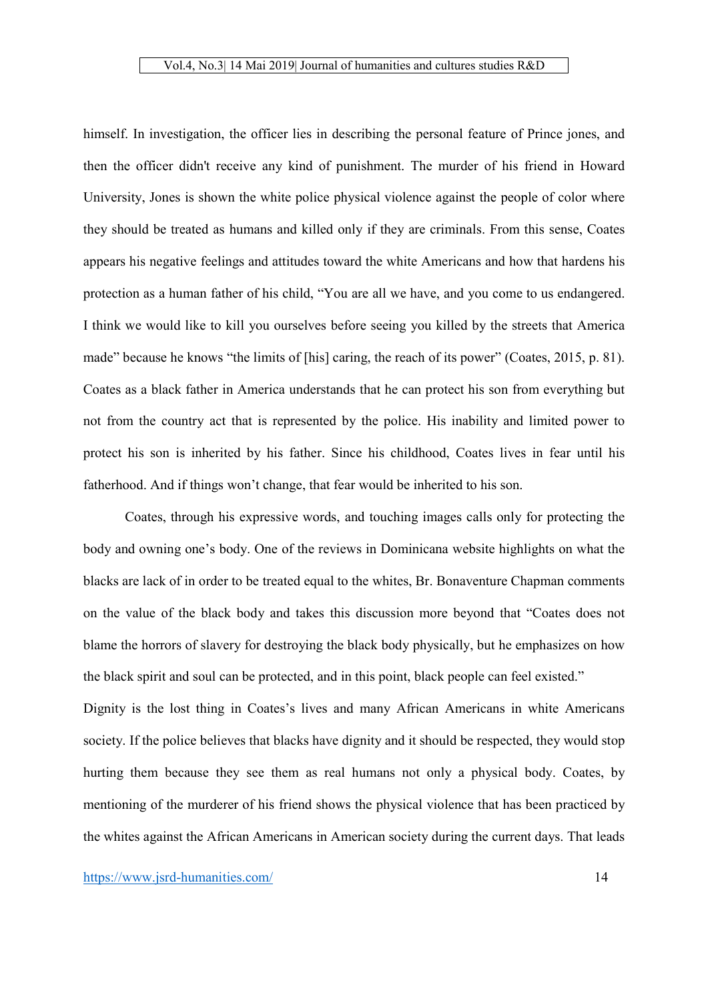himself. In investigation, the officer lies in describing the personal feature of Prince jones, and then the officer didn't receive any kind of punishment. The murder of his friend in Howard University, Jones is shown the white police physical violence against the people of color where they should be treated as humans and killed only if they are criminals. From this sense, Coates appears his negative feelings and attitudes toward the white Americans and how that hardens his protection as a human father of his child, "You are all we have, and you come to us endangered. I think we would like to kill you ourselves before seeing you killed by the streets that America made" because he knows "the limits of [his] caring, the reach of its power" (Coates, 2015, p. 81). Coates as a black father in America understands that he can protect his son from everything but not from the country act that is represented by the police. His inability and limited power to protect his son is inherited by his father. Since his childhood, Coates lives in fear until his fatherhood. And if things won't change, that fear would be inherited to his son.

Coates, through his expressive words, and touching images calls only for protecting the body and owning one's body. One of the reviews in Dominicana website highlights on what the blacks are lack of in order to be treated equal to the whites, Br. Bonaventure Chapman comments on the value of the black body and takes this discussion more beyond that "Coates does not blame the horrors of slavery for destroying the black body physically, but he emphasizes on how the black spirit and soul can be protected, and in this point, black people can feel existed."

Dignity is the lost thing in Coates's lives and many African Americans in white Americans society. If the police believes that blacks have dignity and it should be respected, they would stop hurting them because they see them as real humans not only a physical body. Coates, by mentioning of the murderer of his friend shows the physical violence that has been practiced by the whites against the African Americans in American society during the current days. That leads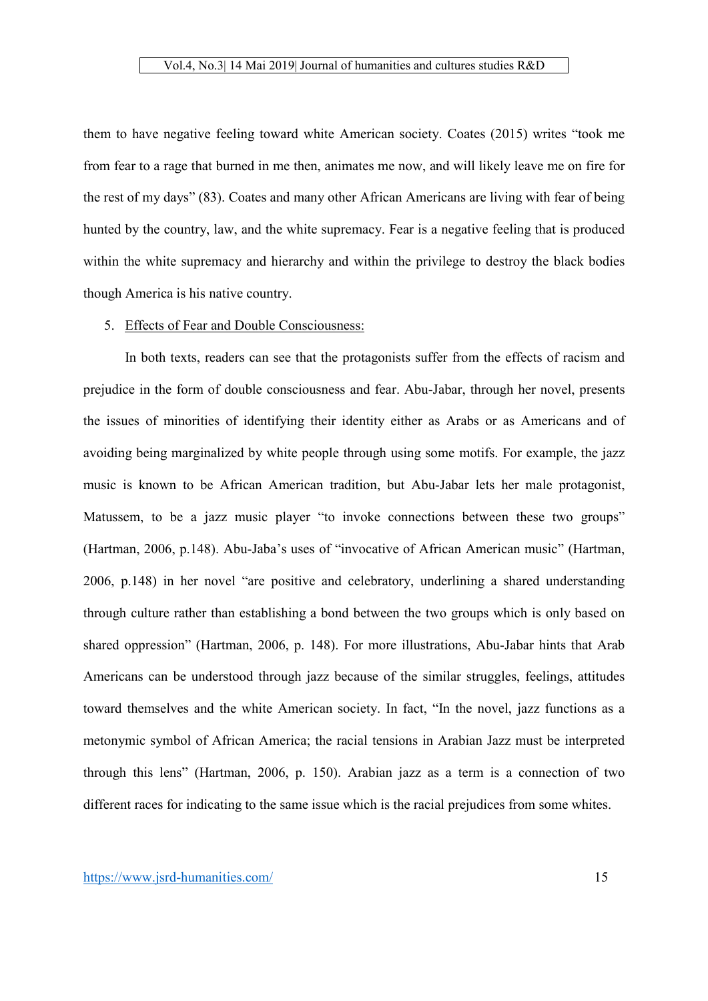them to have negative feeling toward white American society. Coates (2015) writes "took me from fear to a rage that burned in me then, animates me now, and will likely leave me on fire for the rest of my days" (83). Coates and many other African Americans are living with fear of being hunted by the country, law, and the white supremacy. Fear is a negative feeling that is produced within the white supremacy and hierarchy and within the privilege to destroy the black bodies though America is his native country.

#### 5. Effects of Fear and Double Consciousness:

In both texts, readers can see that the protagonists suffer from the effects of racism and prejudice in the form of double consciousness and fear. Abu-Jabar, through her novel, presents the issues of minorities of identifying their identity either as Arabs or as Americans and of avoiding being marginalized by white people through using some motifs. For example, the jazz music is known to be African American tradition, but Abu-Jabar lets her male protagonist, Matussem, to be a jazz music player "to invoke connections between these two groups" (Hartman, 2006, p.148). Abu-Jaba's uses of "invocative of African American music" (Hartman, 2006, p.148) in her novel "are positive and celebratory, underlining a shared understanding through culture rather than establishing a bond between the two groups which is only based on shared oppression" (Hartman, 2006, p. 148). For more illustrations, Abu-Jabar hints that Arab Americans can be understood through jazz because of the similar struggles, feelings, attitudes toward themselves and the white American society. In fact, "In the novel, jazz functions as a metonymic symbol of African America; the racial tensions in Arabian Jazz must be interpreted through this lens" (Hartman, 2006, p. 150). Arabian jazz as a term is a connection of two different races for indicating to the same issue which is the racial prejudices from some whites.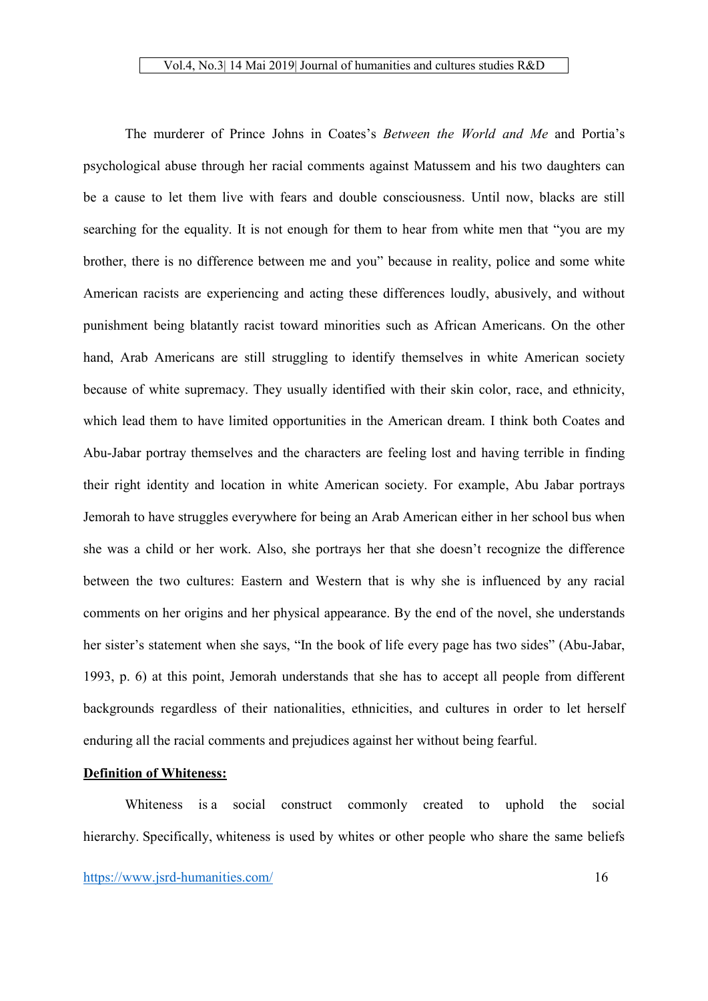The murderer of Prince Johns in Coates's *Between the World and Me* and Portia's psychological abuse through her racial comments against Matussem and his two daughters can be a cause to let them live with fears and double consciousness. Until now, blacks are still searching for the equality. It is not enough for them to hear from white men that "you are my brother, there is no difference between me and you" because in reality, police and some white American racists are experiencing and acting these differences loudly, abusively, and without punishment being blatantly racist toward minorities such as African Americans. On the other hand, Arab Americans are still struggling to identify themselves in white American society because of white supremacy. They usually identified with their skin color, race, and ethnicity, which lead them to have limited opportunities in the American dream. I think both Coates and Abu-Jabar portray themselves and the characters are feeling lost and having terrible in finding their right identity and location in white American society. For example, Abu Jabar portrays Jemorah to have struggles everywhere for being an Arab American either in her school bus when she was a child or her work. Also, she portrays her that she doesn't recognize the difference between the two cultures: Eastern and Western that is why she is influenced by any racial comments on her origins and her physical appearance. By the end of the novel, she understands her sister's statement when she says, "In the book of life every page has two sides" (Abu-Jabar, 1993, p. 6) at this point, Jemorah understands that she has to accept all people from different backgrounds regardless of their nationalities, ethnicities, and cultures in order to let herself enduring all the racial comments and prejudices against her without being fearful.

# Definition of Whiteness:

Whiteness is a social construct commonly created to uphold the social hierarchy. Specifically, whiteness is used by whites or other people who share the same beliefs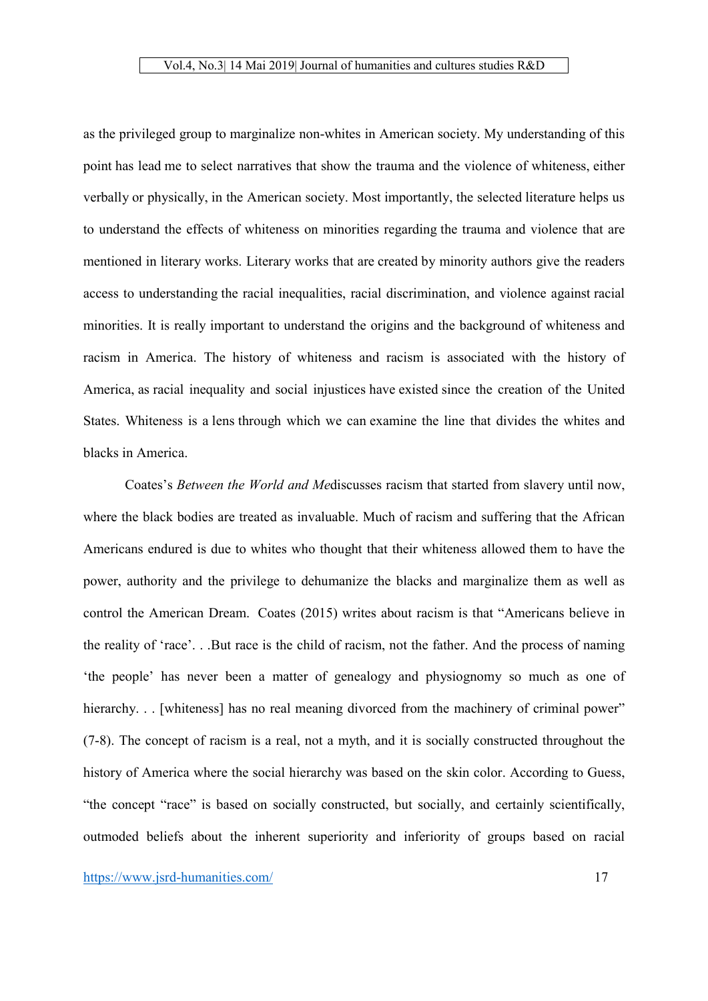as the privileged group to marginalize non-whites in American society. My understanding of this point has lead me to select narratives that show the trauma and the violence of whiteness, either verbally or physically, in the American society. Most importantly, the selected literature helps us to understand the effects of whiteness on minorities regarding the trauma and violence that are mentioned in literary works. Literary works that are created by minority authors give the readers access to understanding the racial inequalities, racial discrimination, and violence against racial minorities. It is really important to understand the origins and the background of whiteness and racism in America. The history of whiteness and racism is associated with the history of America, as racial inequality and social injustices have existed since the creation of the United States. Whiteness is a lens through which we can examine the line that divides the whites and blacks in America.

Coates's *Between the World and Me*discusses racism that started from slavery until now, where the black bodies are treated as invaluable. Much of racism and suffering that the African Americans endured is due to whites who thought that their whiteness allowed them to have the power, authority and the privilege to dehumanize the blacks and marginalize them as well as control the American Dream. Coates (2015) writes about racism is that "Americans believe in the reality of 'race'. . .But race is the child of racism, not the father. And the process of naming 'the people' has never been a matter of genealogy and physiognomy so much as one of hierarchy. . . [whiteness] has no real meaning divorced from the machinery of criminal power" (7-8). The concept of racism is a real, not a myth, and it is socially constructed throughout the history of America where the social hierarchy was based on the skin color. According to Guess, "the concept "race" is based on socially constructed, but socially, and certainly scientifically, outmoded beliefs about the inherent superiority and inferiority of groups based on racial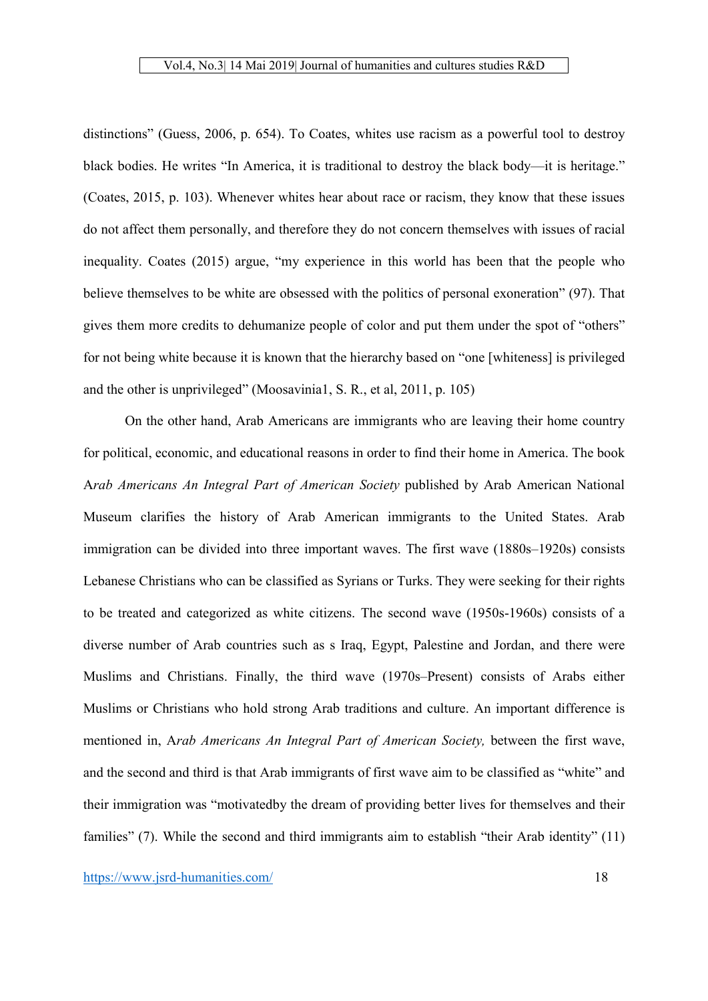distinctions" (Guess, 2006, p. 654). To Coates, whites use racism as a powerful tool to destroy black bodies. He writes "In America, it is traditional to destroy the black body—it is heritage." (Coates, 2015, p. 103). Whenever whites hear about race or racism, they know that these issues do not affect them personally, and therefore they do not concern themselves with issues of racial inequality. Coates (2015) argue, "my experience in this world has been that the people who believe themselves to be white are obsessed with the politics of personal exoneration" (97). That gives them more credits to dehumanize people of color and put them under the spot of "others" for not being white because it is known that the hierarchy based on "one [whiteness] is privileged and the other is unprivileged" (Moosavinia1, S. R., et al, 2011, p. 105)

On the other hand, Arab Americans are immigrants who are leaving their home country for political, economic, and educational reasons in order to find their home in America. The book A*rab Americans An Integral Part of American Society* published by Arab American National Museum clarifies the history of Arab American immigrants to the United States. Arab immigration can be divided into three important waves. The first wave (1880s–1920s) consists Lebanese Christians who can be classified as Syrians or Turks. They were seeking for their rights to be treated and categorized as white citizens. The second wave (1950s-1960s) consists of a diverse number of Arab countries such as s Iraq, Egypt, Palestine and Jordan, and there were Muslims and Christians. Finally, the third wave (1970s–Present) consists of Arabs either Muslims or Christians who hold strong Arab traditions and culture. An important difference is mentioned in, A*rab Americans An Integral Part of American Society,* between the first wave, and the second and third is that Arab immigrants of first wave aim to be classified as "white" and their immigration was "motivatedby the dream of providing better lives for themselves and their families" (7). While the second and third immigrants aim to establish "their Arab identity" (11)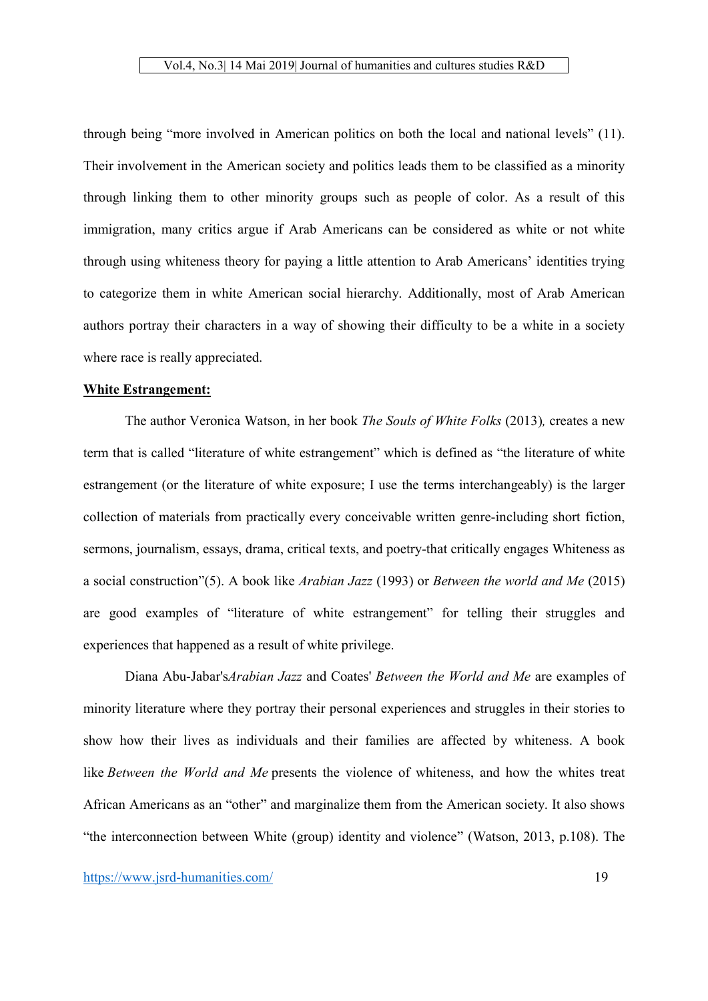through being "more involved in American politics on both the local and national levels" (11). Their involvement in the American society and politics leads them to be classified as a minority through linking them to other minority groups such as people of color. As a result of this immigration, many critics argue if Arab Americans can be considered as white or not white through using whiteness theory for paying a little attention to Arab Americans' identities trying to categorize them in white American social hierarchy. Additionally, most of Arab American authors portray their characters in a way of showing their difficulty to be a white in a society where race is really appreciated.

# White Estrangement:

The author Veronica Watson, in her book *The Souls of White Folks* (2013)*,* creates a new term that is called "literature of white estrangement" which is defined as "the literature of white estrangement (or the literature of white exposure; I use the terms interchangeably) is the larger collection of materials from practically every conceivable written genre-including short fiction, sermons, journalism, essays, drama, critical texts, and poetry-that critically engages Whiteness as a social construction"(5). A book like *Arabian Jazz* (1993) or *Between the world and Me* (2015) are good examples of "literature of white estrangement" for telling their struggles and experiences that happened as a result of white privilege.

Diana Abu-Jabar's*Arabian Jazz* and Coates' *Between the World and Me* are examples of minority literature where they portray their personal experiences and struggles in their stories to show how their lives as individuals and their families are affected by whiteness. A book like *Between the World and Me* presents the violence of whiteness, and how the whites treat African Americans as an "other" and marginalize them from the American society. It also shows "the interconnection between White (group) identity and violence" (Watson, 2013, p.108). The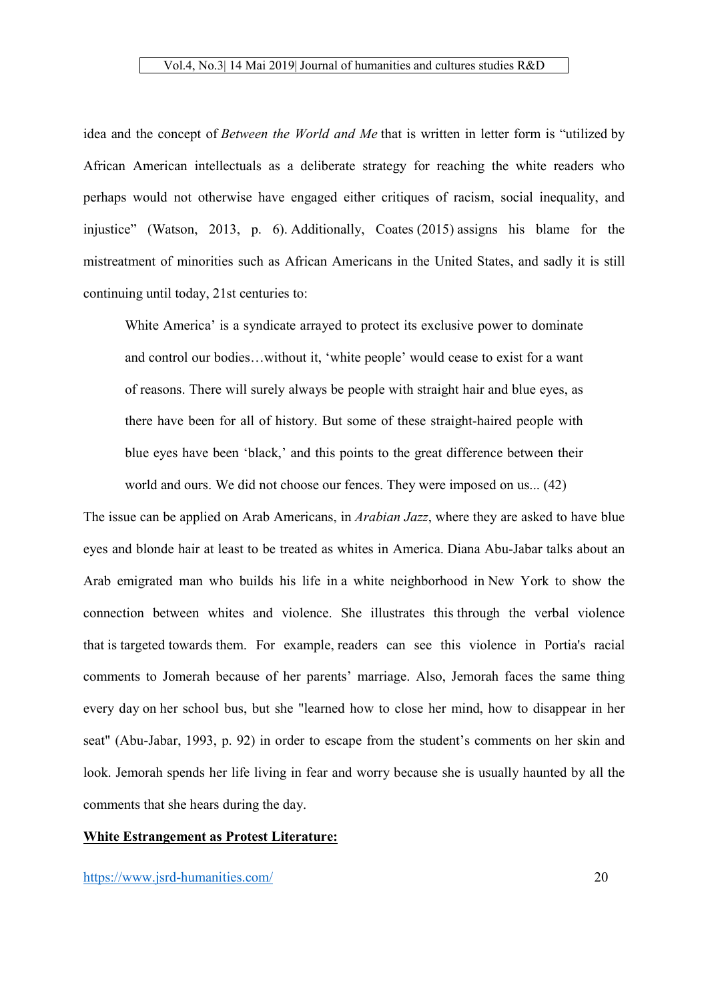idea and the concept of *Between the World and Me* that is written in letter form is "utilized by African American intellectuals as a deliberate strategy for reaching the white readers who perhaps would not otherwise have engaged either critiques of racism, social inequality, and injustice" (Watson, 2013, p. 6). Additionally, Coates (2015) assigns his blame for the mistreatment of minorities such as African Americans in the United States, and sadly it is still continuing until today, 21st centuries to:

White America' is a syndicate arrayed to protect its exclusive power to dominate and control our bodies…without it, 'white people' would cease to exist for a want of reasons. There will surely always be people with straight hair and blue eyes, as there have been for all of history. But some of these straight-haired people with blue eyes have been 'black,' and this points to the great difference between their world and ours. We did not choose our fences. They were imposed on us... (42)

The issue can be applied on Arab Americans, in *Arabian Jazz*, where they are asked to have blue eyes and blonde hair at least to be treated as whites in America. Diana Abu-Jabar talks about an Arab emigrated man who builds his life in a white neighborhood in New York to show the connection between whites and violence. She illustrates this through the verbal violence that is targeted towards them. For example, readers can see this violence in Portia's racial comments to Jomerah because of her parents' marriage. Also, Jemorah faces the same thing every day on her school bus, but she "learned how to close her mind, how to disappear in her seat" (Abu-Jabar, 1993, p. 92) in order to escape from the student's comments on her skin and look. Jemorah spends her life living in fear and worry because she is usually haunted by all the comments that she hears during the day.

# White Estrangement as Protest Literature: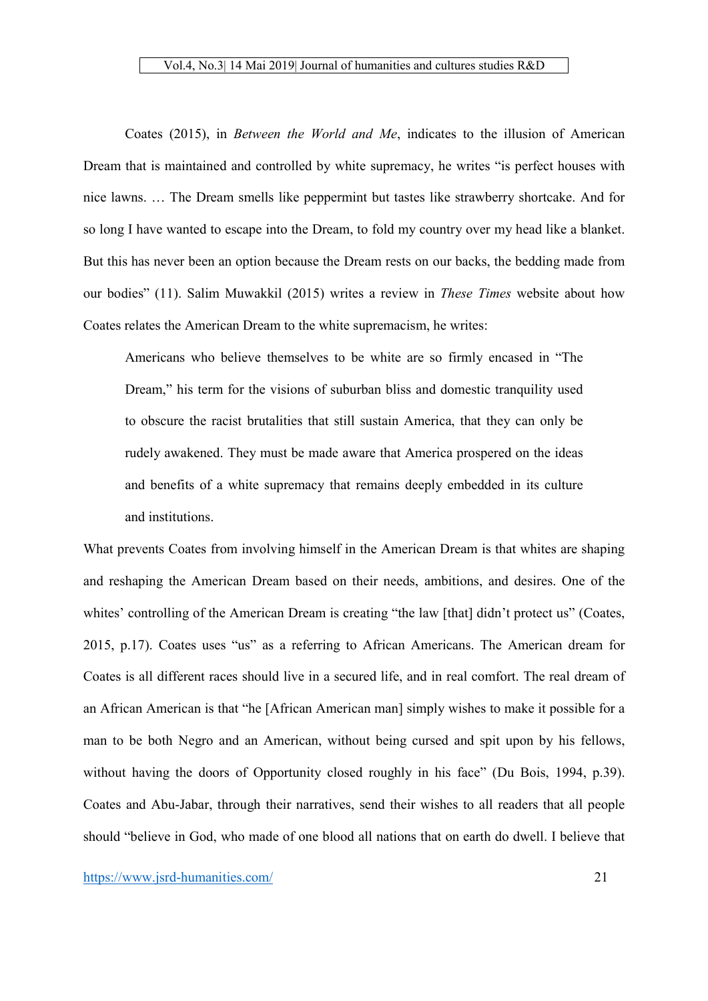Coates (2015), in *Between the World and Me*, indicates to the illusion of American Dream that is maintained and controlled by white supremacy, he writes "is perfect houses with nice lawns. … The Dream smells like peppermint but tastes like strawberry shortcake. And for so long I have wanted to escape into the Dream, to fold my country over my head like a blanket. But this has never been an option because the Dream rests on our backs, the bedding made from our bodies" (11). Salim Muwakkil (2015) writes a review in *These Times* website about how Coates relates the American Dream to the white supremacism, he writes:

Americans who believe themselves to be white are so firmly encased in "The Dream," his term for the visions of suburban bliss and domestic tranquility used to obscure the racist brutalities that still sustain America, that they can only be rudely awakened. They must be made aware that America prospered on the ideas and benefits of a white supremacy that remains deeply embedded in its culture and institutions.

What prevents Coates from involving himself in the American Dream is that whites are shaping and reshaping the American Dream based on their needs, ambitions, and desires. One of the whites' controlling of the American Dream is creating "the law [that] didn't protect us" (Coates, 2015, p.17). Coates uses "us" as a referring to African Americans. The American dream for Coates is all different races should live in a secured life, and in real comfort. The real dream of an African American is that "he [African American man] simply wishes to make it possible for a man to be both Negro and an American, without being cursed and spit upon by his fellows, without having the doors of Opportunity closed roughly in his face" (Du Bois, 1994, p.39). Coates and Abu-Jabar, through their narratives, send their wishes to all readers that all people should "believe in God, who made of one blood all nations that on earth do dwell. I believe that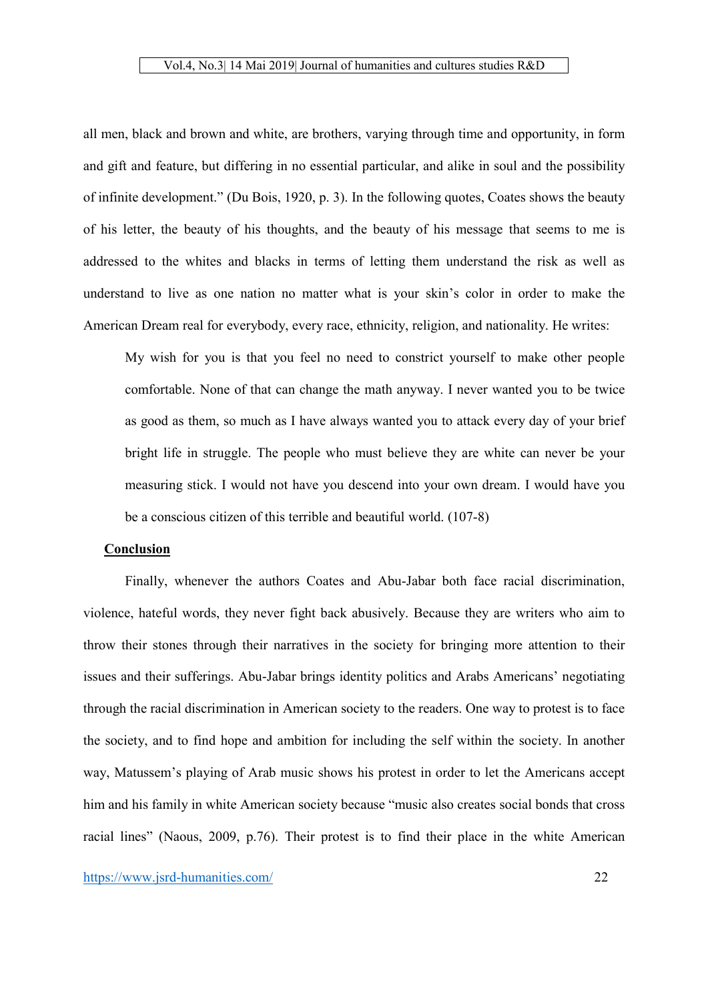all men, black and brown and white, are brothers, varying through time and opportunity, in form and gift and feature, but differing in no essential particular, and alike in soul and the possibility of infinite development." (Du Bois, 1920, p. 3). In the following quotes, Coates shows the beauty of his letter, the beauty of his thoughts, and the beauty of his message that seems to me is addressed to the whites and blacks in terms of letting them understand the risk as well as understand to live as one nation no matter what is your skin's color in order to make the American Dream real for everybody, every race, ethnicity, religion, and nationality. He writes:

My wish for you is that you feel no need to constrict yourself to make other people comfortable. None of that can change the math anyway. I never wanted you to be twice as good as them, so much as I have always wanted you to attack every day of your brief bright life in struggle. The people who must believe they are white can never be your measuring stick. I would not have you descend into your own dream. I would have you be a conscious citizen of this terrible and beautiful world. (107-8)

#### Conclusion

Finally, whenever the authors Coates and Abu-Jabar both face racial discrimination, violence, hateful words, they never fight back abusively. Because they are writers who aim to throw their stones through their narratives in the society for bringing more attention to their issues and their sufferings. Abu-Jabar brings identity politics and Arabs Americans' negotiating through the racial discrimination in American society to the readers. One way to protest is to face the society, and to find hope and ambition for including the self within the society. In another way, Matussem's playing of Arab music shows his protest in order to let the Americans accept him and his family in white American society because "music also creates social bonds that cross racial lines" (Naous, 2009, p.76). Their protest is to find their place in the white American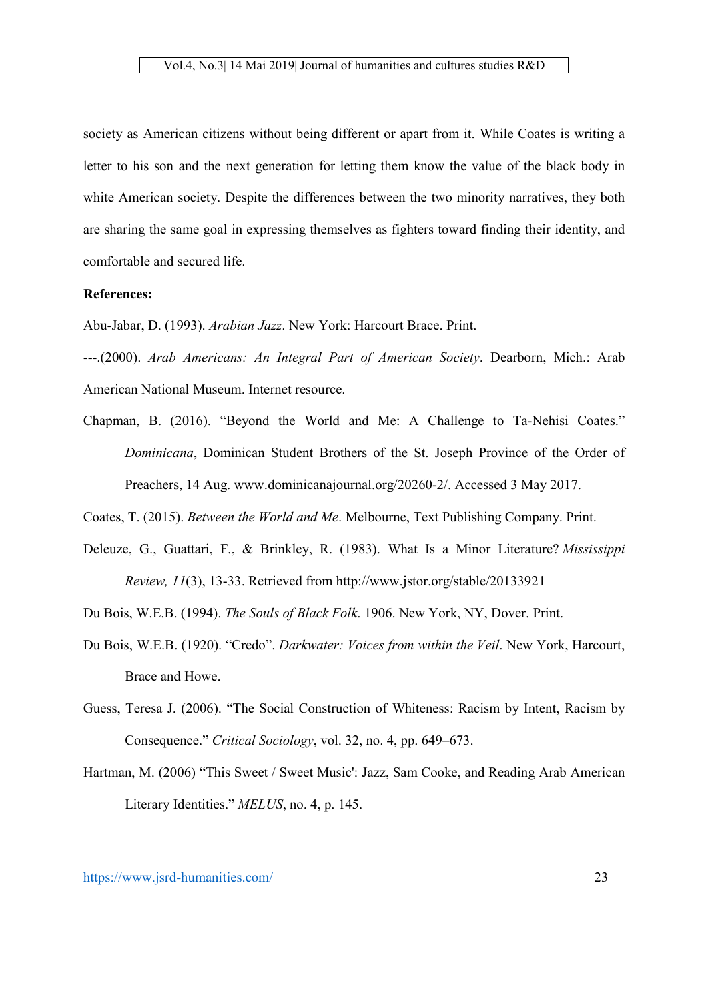society as American citizens without being different or apart from it. While Coates is writing a letter to his son and the next generation for letting them know the value of the black body in white American society. Despite the differences between the two minority narratives, they both are sharing the same goal in expressing themselves as fighters toward finding their identity, and comfortable and secured life.

# References:

Abu-Jabar, D. (1993). *Arabian Jazz*. New York: Harcourt Brace. Print.

---.(2000). *Arab Americans: An Integral Part of American Society*. Dearborn, Mich.: Arab American National Museum. Internet resource.

Chapman, B. (2016). "Beyond the World and Me: A Challenge to Ta-Nehisi Coates." *Dominicana*, Dominican Student Brothers of the St. Joseph Province of the Order of Preachers, 14 Aug. www.dominicanajournal.org/20260-2/. Accessed 3 May 2017.

Coates, T. (2015). *Between the World and Me*. Melbourne, Text Publishing Company. Print.

- Deleuze, G., Guattari, F., & Brinkley, R. (1983). What Is a Minor Literature? *Mississippi Review, 11*(3), 13-33. Retrieved from http://www.jstor.org/stable/20133921
- Du Bois, W.E.B. (1994). *The Souls of Black Folk*. 1906. New York, NY, Dover. Print.
- Du Bois, W.E.B. (1920). "Credo". *Darkwater: Voices from within the Veil*. New York, Harcourt, Brace and Howe.
- Guess, Teresa J. (2006). "The Social Construction of Whiteness: Racism by Intent, Racism by Consequence." *Critical Sociology*, vol. 32, no. 4, pp. 649–673.
- Hartman, M. (2006) "This Sweet / Sweet Music': Jazz, Sam Cooke, and Reading Arab American Literary Identities." *MELUS*, no. 4, p. 145.